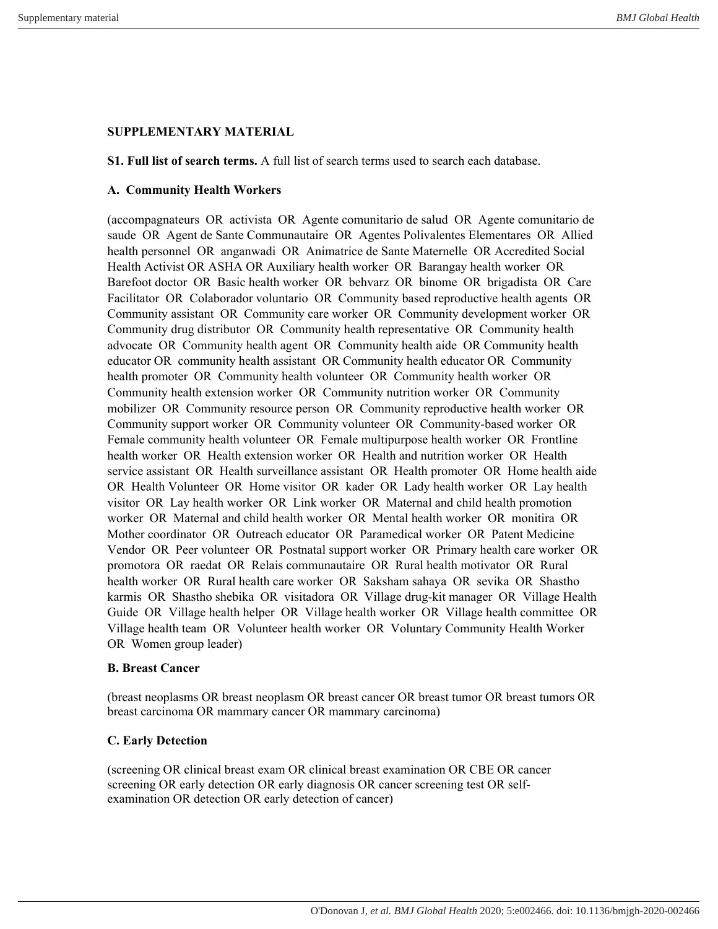# **SUPPLEMENTARY MATERIAL**

**S1. Full list of search terms.** A full list of search terms used to search each database.

### **A. Community Health Workers**

(accompagnateurs OR activista OR Agente comunitario de salud OR Agente comunitario de saude OR Agent de Sante Communautaire OR Agentes Polivalentes Elementares OR Allied health personnel OR anganwadi OR Animatrice de Sante Maternelle OR Accredited Social Health Activist OR ASHA OR Auxiliary health worker OR Barangay health worker OR Barefoot doctor OR Basic health worker OR behvarz OR binome OR brigadista OR Care Facilitator OR Colaborador voluntario OR Community based reproductive health agents OR Community assistant OR Community care worker OR Community development worker OR Community drug distributor OR Community health representative OR Community health advocate OR Community health agent OR Community health aide OR Community health educator OR community health assistant OR Community health educator OR Community health promoter OR Community health volunteer OR Community health worker OR Community health extension worker OR Community nutrition worker OR Community mobilizer OR Community resource person OR Community reproductive health worker OR Community support worker OR Community volunteer OR Community-based worker OR Female community health volunteer OR Female multipurpose health worker OR Frontline health worker OR Health extension worker OR Health and nutrition worker OR Health service assistant OR Health surveillance assistant OR Health promoter OR Home health aide OR Health Volunteer OR Home visitor OR kader OR Lady health worker OR Lay health visitor OR Lay health worker OR Link worker OR Maternal and child health promotion worker OR Maternal and child health worker OR Mental health worker OR monitira OR Mother coordinator OR Outreach educator OR Paramedical worker OR Patent Medicine Vendor OR Peer volunteer OR Postnatal support worker OR Primary health care worker OR promotora OR raedat OR Relais communautaire OR Rural health motivator OR Rural health worker OR Rural health care worker OR Saksham sahaya OR sevika OR Shastho karmis OR Shastho shebika OR visitadora OR Village drug-kit manager OR Village Health Guide OR Village health helper OR Village health worker OR Village health committee OR Village health team OR Volunteer health worker OR Voluntary Community Health Worker OR Women group leader)

## **B. Breast Cancer**

(breast neoplasms OR breast neoplasm OR breast cancer OR breast tumor OR breast tumors OR breast carcinoma OR mammary cancer OR mammary carcinoma)

## **C. Early Detection**

(screening OR clinical breast exam OR clinical breast examination OR CBE OR cancer screening OR early detection OR early diagnosis OR cancer screening test OR selfexamination OR detection OR early detection of cancer)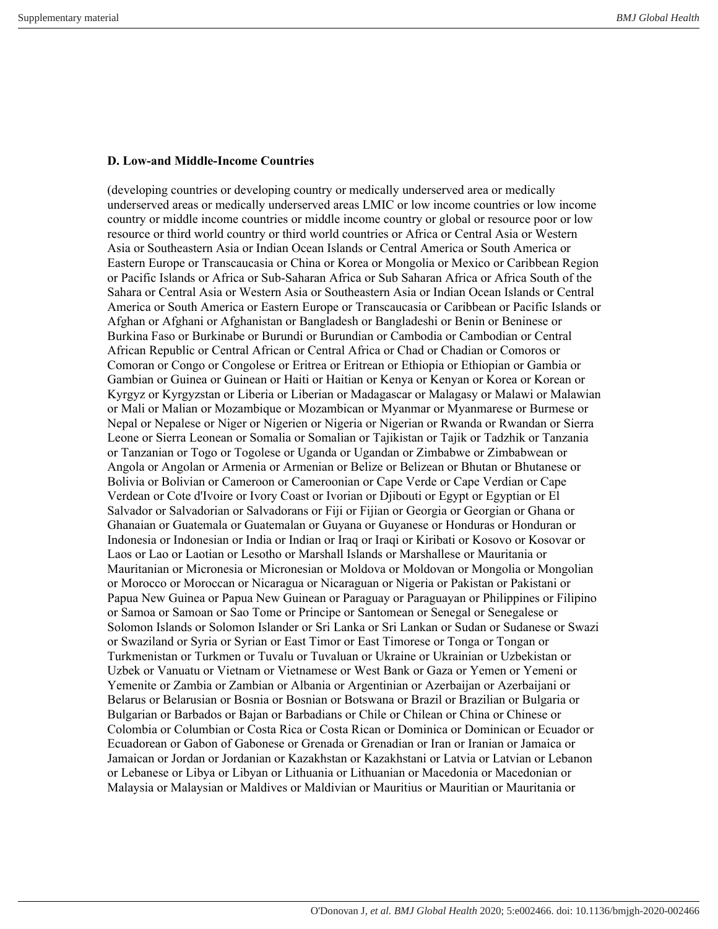#### **D. Low-and Middle-Income Countries**

(developing countries or developing country or medically underserved area or medically underserved areas or medically underserved areas LMIC or low income countries or low income country or middle income countries or middle income country or global or resource poor or low resource or third world country or third world countries or Africa or Central Asia or Western Asia or Southeastern Asia or Indian Ocean Islands or Central America or South America or Eastern Europe or Transcaucasia or China or Korea or Mongolia or Mexico or Caribbean Region or Pacific Islands or Africa or Sub-Saharan Africa or Sub Saharan Africa or Africa South of the Sahara or Central Asia or Western Asia or Southeastern Asia or Indian Ocean Islands or Central America or South America or Eastern Europe or Transcaucasia or Caribbean or Pacific Islands or Afghan or Afghani or Afghanistan or Bangladesh or Bangladeshi or Benin or Beninese or Burkina Faso or Burkinabe or Burundi or Burundian or Cambodia or Cambodian or Central African Republic or Central African or Central Africa or Chad or Chadian or Comoros or Comoran or Congo or Congolese or Eritrea or Eritrean or Ethiopia or Ethiopian or Gambia or Gambian or Guinea or Guinean or Haiti or Haitian or Kenya or Kenyan or Korea or Korean or Kyrgyz or Kyrgyzstan or Liberia or Liberian or Madagascar or Malagasy or Malawi or Malawian or Mali or Malian or Mozambique or Mozambican or Myanmar or Myanmarese or Burmese or Nepal or Nepalese or Niger or Nigerien or Nigeria or Nigerian or Rwanda or Rwandan or Sierra Leone or Sierra Leonean or Somalia or Somalian or Tajikistan or Tajik or Tadzhik or Tanzania or Tanzanian or Togo or Togolese or Uganda or Ugandan or Zimbabwe or Zimbabwean or Angola or Angolan or Armenia or Armenian or Belize or Belizean or Bhutan or Bhutanese or Bolivia or Bolivian or Cameroon or Cameroonian or Cape Verde or Cape Verdian or Cape Verdean or Cote d'Ivoire or Ivory Coast or Ivorian or Djibouti or Egypt or Egyptian or El Salvador or Salvadorian or Salvadorans or Fiji or Fijian or Georgia or Georgian or Ghana or Ghanaian or Guatemala or Guatemalan or Guyana or Guyanese or Honduras or Honduran or Indonesia or Indonesian or India or Indian or Iraq or Iraqi or Kiribati or Kosovo or Kosovar or Laos or Lao or Laotian or Lesotho or Marshall Islands or Marshallese or Mauritania or Mauritanian or Micronesia or Micronesian or Moldova or Moldovan or Mongolia or Mongolian or Morocco or Moroccan or Nicaragua or Nicaraguan or Nigeria or Pakistan or Pakistani or Papua New Guinea or Papua New Guinean or Paraguay or Paraguayan or Philippines or Filipino or Samoa or Samoan or Sao Tome or Principe or Santomean or Senegal or Senegalese or Solomon Islands or Solomon Islander or Sri Lanka or Sri Lankan or Sudan or Sudanese or Swazi or Swaziland or Syria or Syrian or East Timor or East Timorese or Tonga or Tongan or Turkmenistan or Turkmen or Tuvalu or Tuvaluan or Ukraine or Ukrainian or Uzbekistan or Uzbek or Vanuatu or Vietnam or Vietnamese or West Bank or Gaza or Yemen or Yemeni or Yemenite or Zambia or Zambian or Albania or Argentinian or Azerbaijan or Azerbaijani or Belarus or Belarusian or Bosnia or Bosnian or Botswana or Brazil or Brazilian or Bulgaria or Bulgarian or Barbados or Bajan or Barbadians or Chile or Chilean or China or Chinese or Colombia or Columbian or Costa Rica or Costa Rican or Dominica or Dominican or Ecuador or Ecuadorean or Gabon of Gabonese or Grenada or Grenadian or Iran or Iranian or Jamaica or Jamaican or Jordan or Jordanian or Kazakhstan or Kazakhstani or Latvia or Latvian or Lebanon or Lebanese or Libya or Libyan or Lithuania or Lithuanian or Macedonia or Macedonian or Malaysia or Malaysian or Maldives or Maldivian or Mauritius or Mauritian or Mauritania or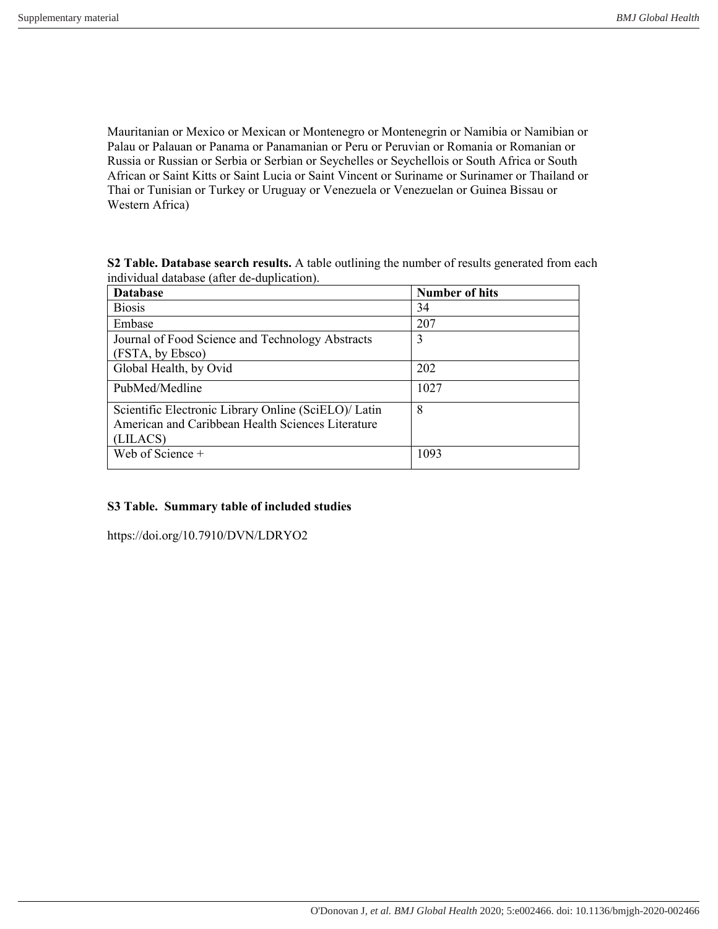Mauritanian or Mexico or Mexican or Montenegro or Montenegrin or Namibia or Namibian or Palau or Palauan or Panama or Panamanian or Peru or Peruvian or Romania or Romanian or Russia or Russian or Serbia or Serbian or Seychelles or Seychellois or South Africa or South African or Saint Kitts or Saint Lucia or Saint Vincent or Suriname or Surinamer or Thailand or Thai or Tunisian or Turkey or Uruguay or Venezuela or Venezuelan or Guinea Bissau or Western Africa)

**S2 Table. Database search results.** A table outlining the number of results generated from each individual database (after de-duplication).

| <b>Database</b>                                      | <b>Number of hits</b> |
|------------------------------------------------------|-----------------------|
| <b>Biosis</b>                                        | 34                    |
| Embase                                               | 207                   |
| Journal of Food Science and Technology Abstracts     |                       |
| (FSTA, by Ebsco)                                     |                       |
| Global Health, by Ovid                               | 202                   |
| PubMed/Medline                                       | 1027                  |
| Scientific Electronic Library Online (SciELO)/ Latin | 8                     |
| American and Caribbean Health Sciences Literature    |                       |
| (LILACS)                                             |                       |
| Web of Science +                                     | 1093                  |

#### **S3 Table. Summary table of included studies**

https://doi.org/10.7910/DVN/LDRYO2